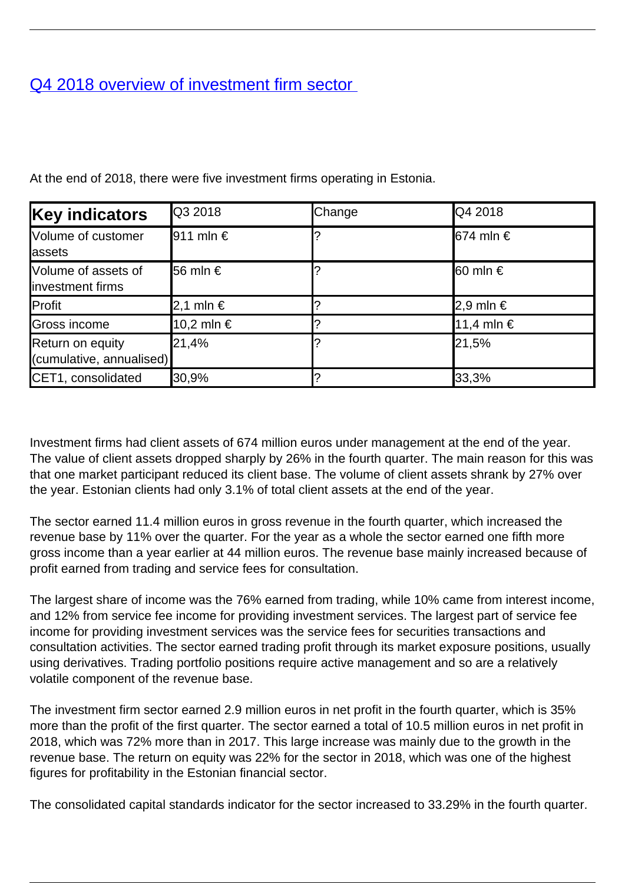## [Q4 2018 overview of investment firm sector](/en/publications/q4-2018-overview-investment-firm-sector)

| <b>Key indicators</b>                        | <b>Q3 2018</b>         | Change | Q4 2018                                  |
|----------------------------------------------|------------------------|--------|------------------------------------------|
| Volume of customer<br><b>assets</b>          | $ 911 \text{ min} \in$ |        | $\vert 674 \text{ m} \vert \text{n} \in$ |
| Volume of assets of<br>linvestment firms     | <b>56 mln</b> €        |        | $\vert$ 60 mln €                         |
| Profit                                       | 2,1 mln €              |        | 2,9 mln €                                |
| Gross income                                 | 10,2 mln €             |        | 11,4 mln €                               |
| Return on equity<br>(cumulative, annualised) | 21,4%                  |        | 21,5%                                    |
| CET1, consolidated                           | 30,9%                  |        | 33,3%                                    |

At the end of 2018, there were five investment firms operating in Estonia.

Investment firms had client assets of 674 million euros under management at the end of the year. The value of client assets dropped sharply by 26% in the fourth quarter. The main reason for this was that one market participant reduced its client base. The volume of client assets shrank by 27% over the year. Estonian clients had only 3.1% of total client assets at the end of the year.

The sector earned 11.4 million euros in gross revenue in the fourth quarter, which increased the revenue base by 11% over the quarter. For the year as a whole the sector earned one fifth more gross income than a year earlier at 44 million euros. The revenue base mainly increased because of profit earned from trading and service fees for consultation.

The largest share of income was the 76% earned from trading, while 10% came from interest income, and 12% from service fee income for providing investment services. The largest part of service fee income for providing investment services was the service fees for securities transactions and consultation activities. The sector earned trading profit through its market exposure positions, usually using derivatives. Trading portfolio positions require active management and so are a relatively volatile component of the revenue base.

The investment firm sector earned 2.9 million euros in net profit in the fourth quarter, which is 35% more than the profit of the first quarter. The sector earned a total of 10.5 million euros in net profit in 2018, which was 72% more than in 2017. This large increase was mainly due to the growth in the revenue base. The return on equity was 22% for the sector in 2018, which was one of the highest figures for profitability in the Estonian financial sector.

The consolidated capital standards indicator for the sector increased to 33.29% in the fourth quarter.